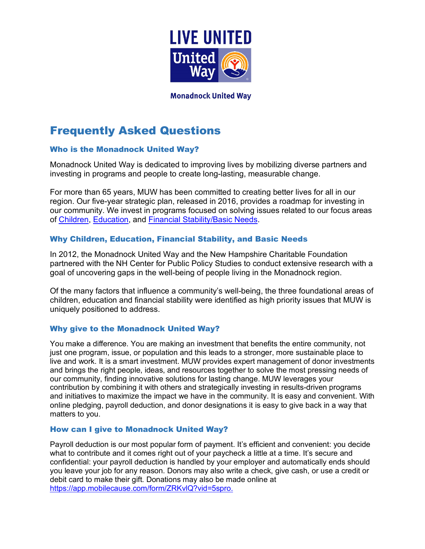

# **Monadnock United Way**

# Frequently Asked Questions

## Who is the Monadnock United Way?

Monadnock United Way is dedicated to improving lives by mobilizing diverse partners and investing in programs and people to create long-lasting, measurable change.

For more than 65 years, MUW has been committed to creating better lives for all in our region. Our five-year [strategic plan,](https://www.muw.org/sites/muw.org/files/MUW_Strategic_Plan_Summary-rev07142017-web.pdf) released in 2016, provides a roadmap for investing in our community. We invest in programs focused on solving issues related to our focus areas of [Children,](https://www.muw.org/children) [Education,](https://www.muw.org/education) and [Financial Stability/Basic](https://www.muw.org/financialstability) Needs.

# Why Children, Education, Financial Stability, and Basic Needs

In 2012, the Monadnock United Way and the New Hampshire Charitable Foundation partnered with the NH Center for Public Policy Studies to conduct extensive research with a goal of uncovering gaps in the well-being of people living in the Monadnock region.

Of the many factors that influence a community's well-being, the three foundational areas of children, education and financial stability were identified as high priority issues that MUW is uniquely positioned to address.

# Why give to the Monadnock United Way?

You make a difference. You are making an investment that benefits the entire community, not just one program, issue, or population and this leads to a stronger, more sustainable place to live and work. It is a smart investment. MUW provides expert management of donor investments and brings the right people, ideas, and resources together to solve the most pressing needs of our community, finding innovative solutions for lasting change. MUW leverages your contribution by combining it with others and strategically investing in results-driven programs and initiatives to maximize the impact we have in the community. It is easy and convenient. With online pledging, payroll deduction, and donor designations it is easy to give back in a way that matters to you.

## How can I give to Monadnock United Way?

Payroll deduction is our most popular form of payment. It's efficient and convenient: you decide what to contribute and it comes right out of your paycheck a little at a time. It's secure and confidential: your payroll deduction is handled by your employer and automatically ends should you leave your job for any reason. Donors may also write a check, give cash, or use a credit or debit card to make their gift. Donations may also be made online at [https://app.mobilecause.com/form/ZRKvlQ?vid=5spro.](https://app.mobilecause.com/form/ZRKvlQ?vid=5spro)